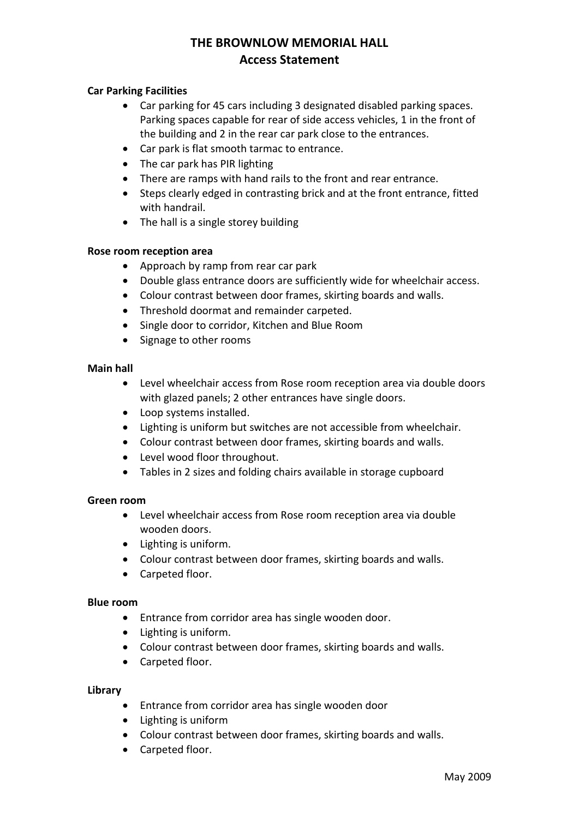# **THE BROWNLOW MEMORIAL HALL Access Statement**

## **Car Parking Facilities**

- Car parking for 45 cars including 3 designated disabled parking spaces. Parking spaces capable for rear of side access vehicles, 1 in the front of the building and 2 in the rear car park close to the entrances.
- Car park is flat smooth tarmac to entrance.
- The car park has PIR lighting
- There are ramps with hand rails to the front and rear entrance.
- Steps clearly edged in contrasting brick and at the front entrance, fitted with handrail.
- The hall is a single storey building

### **Rose room reception area**

- Approach by ramp from rear car park
- Double glass entrance doors are sufficiently wide for wheelchair access.
- Colour contrast between door frames, skirting boards and walls.
- Threshold doormat and remainder carpeted.
- Single door to corridor, Kitchen and Blue Room
- Signage to other rooms

### **Main hall**

- Level wheelchair access from Rose room reception area via double doors with glazed panels; 2 other entrances have single doors.
- Loop systems installed.
- Lighting is uniform but switches are not accessible from wheelchair.
- Colour contrast between door frames, skirting boards and walls.
- Level wood floor throughout.
- Tables in 2 sizes and folding chairs available in storage cupboard

### **Green room**

- Level wheelchair access from Rose room reception area via double wooden doors.
- Lighting is uniform.
- Colour contrast between door frames, skirting boards and walls.
- Carpeted floor.

#### **Blue room**

- Entrance from corridor area has single wooden door.
- Lighting is uniform.
- Colour contrast between door frames, skirting boards and walls.
- Carpeted floor.

### **Library**

- Entrance from corridor area has single wooden door
- Lighting is uniform
- Colour contrast between door frames, skirting boards and walls.
- Carpeted floor.